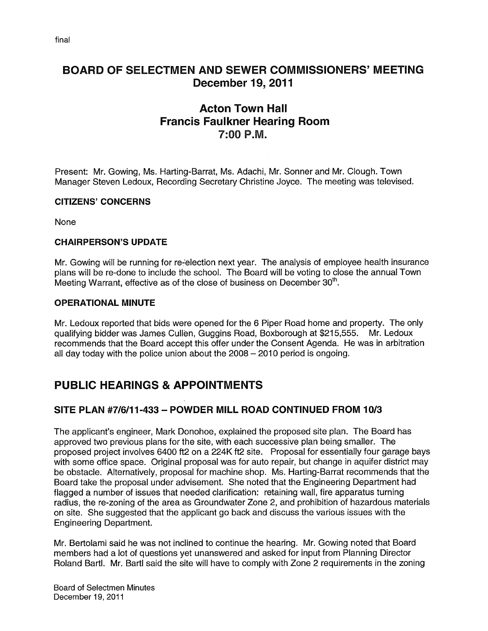### BOARD OF SELECTMEN AND SEWER COMMISSIONERS' MEETING December 19, 2011

### Acton Town Hall Francis Faulkner Hearing Room 7:00 P.M.

Present: Mr. Gowing, Ms. Harting-Barrat, Ms. Adachi, Mr. Sonner and Mr. Clough. Town Manager Steven Ledoux, Recording Secretary Christine Joyce. The meeting was televised.

#### CITIZENS' CONCERNS

None

#### CHAIRPERSON'S UPDATE

Mr. Gowing will be running for re-election next year. The analysis of employee health insurance plans will be re-done to include the school. The Board will be voting to close the annual Town Meeting Warrant, effective as of the close of business on December 30<sup>th</sup>.

#### OPERATIONAL MINUTE

Mr. Ledoux reported that bids were opened for the 6 Piper Road home and property. The only qualifying bidder was James Cullën, Guggins Road, Boxborough at \$215,555. Mr. Ledoux recommends that the Board accept this offer under the Consent Agenda. He was in arbitration all day today with the police union about the 2008 — 2010 period is ongoing.

### PUBLIC HEARINGS & APPOINTMENTS

### SITE PLAN #7/6/11-433 — POWDER MILL ROAD CONTINUED FROM 10/3

The applicant's engineer, Mark Donohoe, explained the proposed site plan. The Board has approved two previous plans for the site, with each successive plan being smaller. The proposed project involves 6400 ft2 on a 224K ft2 site. Proposal for essentially four garage bays with some office space. Original proposal was for auto repair, but change in aquifer district may be obstacle. Alternatively, proposal for machine shop. Ms. Harting-Barrat recommends that the Board take the proposal under advisement. She noted that the Engineering Department had flagged a number of issues that needed clarification: retaining wall, fire apparatus turning radius, the re-zoning of the area as Groundwater Zone 2, and prohibition of hazardous materials on site. She suggested that the applicant go back and discuss the various issues with the Engineering Department.

Mr. Bertolami said he was not inclined to continue the hearing. Mr. Gowing noted that Board members had a lot of questions yet unanswered and asked for input from Planning Director Roland Bartl. Mr. Bartl said the site will have to comply with Zone 2 requirements in the zoning

Board of Selectmen Minutes December 19, 2011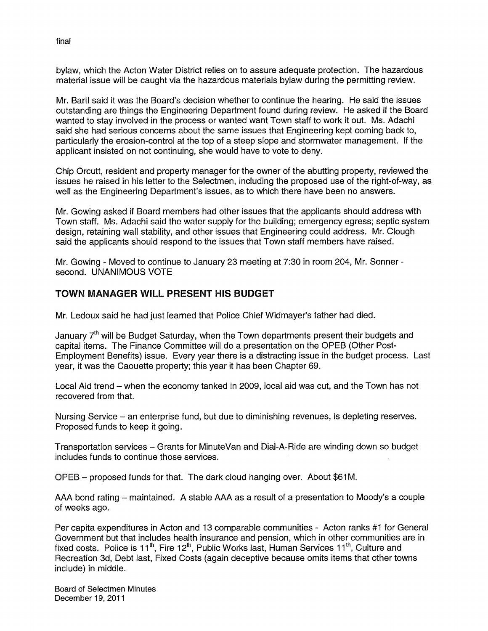bylaw, which the Acton Water District relies on to assure adequate protection. The hazardous material issue will be caught via the hazardous materials bylaw during the permitting review.

Mr. Bartl said it was the Board's decision whether to continue the hearing. He said the issues outstanding are things the Engineering Department found during review. He asked if the Board wanted to stay involved in the process or wanted want Town staff to work it out. Ms. Adachi said she had serious concerns about the same issues that Engineering kept coming back to, particularly the erosion-control at the top of a steep slope and stormwater management. If the applicant insisted on not continuing, she would have to vote to deny.

Chip Orcutt, resident and property manager for the owner of the abutting property, reviewed the issues he raised in his letter to the Selectmen, including the proposed use of the right-of-way, as well as the Engineering Department's issues, as to which there have been no answers.

Mr. Gowing asked if Board members had other issues that the applicants should address with Town staff. Ms. Adachi said the water supply for the building; emergency egress; septic system design, retaining wall stability, and other issues that Engineering could address. Mr. Clough said the applicants should respond to the issues that Town staff members have raised.

Mr. Gowing - Moved to continue to January 23 meeting at 7:30 in room 204, Mr. Sonner second. UNANIMOUS VOTE

#### TOWN MANAGER WILL PRESENT HIS BUDGET

Mr. Ledoux said he had just learned that Police Chief Widmayer's father had died.

January  $7<sup>th</sup>$  will be Budget Saturday, when the Town departments present their budgets and capital items. The Finance Committee will do a presentation on the OPEB (Other Post-Employment Benefits) issue. Every year there is a distracting issue in the budget process. Last year, it was the Caouette property; this year it has been Chapter 69.

Local Aid trend — when the economy tanked in 2009, local aid was cut, and the Town has not recovered from that.

Nursing Service — an enterprise fund, but due to diminishing revenues, is depleting reserves. Proposed funds to keep it going.

Transportation services — Grants for MinuteVan and Dial-A-Ride are winding down so budget includes funds to continue those services.

OPEB — proposed funds for that. The dark cloud hanging over. About \$61 M.

AAA bond rating — maintained. A stable AAA as a result of a presentation to Moody's a couple of weeks ago.

Per capita expenditures in Acton and 13 comparable communities - Acton ranks #1 for General Government but that includes health insurance and pension, which in other communities are in fixed costs. Police is 11<sup>th</sup>, Fire 12<sup>th</sup>, Public Works last, Human Services 11<sup>th</sup>, Culture and Recreation 3d, Debt last, Fixed Costs (again deceptive because omits items that other towns include) in middle.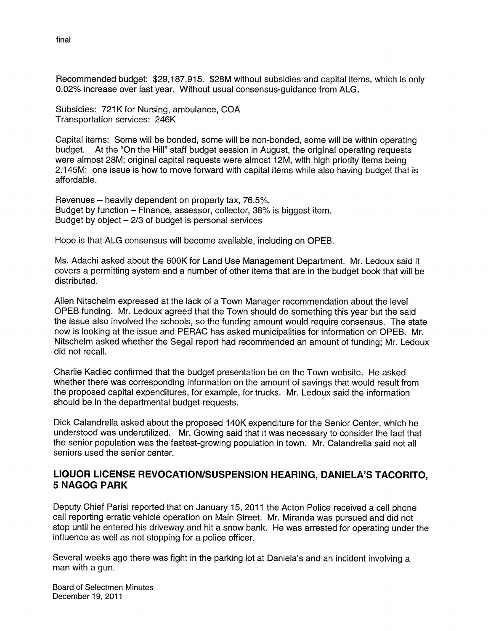Recommended budget: \$29,187,915. \$28M without subsidies and capital items, which is only 0.02% increase over last year. Without usual consensus-guidance from ALG.

Subsidies: 721K for Nursing, ambulance, COA Transportation services: 246K

Capital items: Some will be bonded, some will be non-bonded, some will be within operating budget. At the "On the Hill" staff budget session in August, the original operating requests were almost 28M; original capital requests were almost 12M, with high priority items being 2.145M: one issue is how to move forward with capital items while also having budget that is affordable.

Revenues — heavily dependent on property tax, 76.5%. Budget by function — Finance, assessor, collector, 38% is biggest item. Budget by object — 2/3 of budget is personal services

Hope is that ALG consensus will become available, including on OPEB.

Ms. Adachi asked about the 600K for Land Use Management Department. Mr. Ledoux said it covers a permitting system and a number of other items that are in the budget book that will be distributed.

Allen Nitschelm expressed at the lack of a Town Manager recommendation about the level OPEB funding. Mr. Ledoux agreed that the Town should do something this year but the said the issue also involved the schools, so the funding amount would require consensus. The state now is looking at the issue and PERAC has asked municipalities for information on OPEB. Mr. Nitschelm asked whether the Segal report had recommended an amount of funding; Mr. Ledoux did not recall.

Charlie Kadlec confirmed that the budget presentation be on the Town website. He asked whether there was corresponding information on the amount of savings that would result from the proposed capital expenditures, for example, for trucks. Mr. Ledoux said the information should be in the departmental budget requests.

Dick Calandrella asked about the proposed 140K expenditure for the Senior Center, which he understood was underutilized. Mr. Gowing said that it was necessary to consider the fact that the senior population was the fastest-growing population in town. Mr. Calandrella said not all seniors used the senior center.

#### LIQUOR LICENSE REVOCATION/SUSPENSION HEARING, DANIELA'S TACORITO, 5 NAGOG PARK

Deputy Chief Parisi reported that on January 15, 2011 the Acton Police received a cell phone call reporting erratic vehicle operation on Main Street. Mr. Miranda was pursued and did not stop until he entered his driveway and hit a snow bank. He was arrested for operating under the influence as well as not stopping for a police officer.

Several weeks ago there was fight in the parking lot at Daniela's and an incident involving a man with a gun.

Board of Selectmen Minutes December 19, 2011

final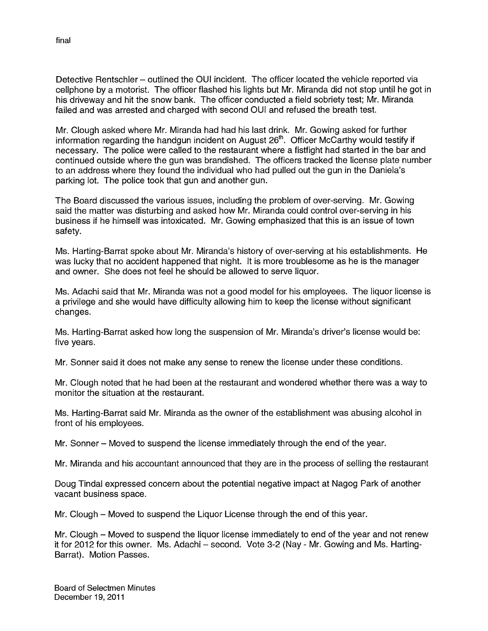Detective Rentschler — outlined the OUI incident. The officer located the vehicle reported via cellphone by a motorist. The officer flashed his lights but Mr. Miranda did not stop until he got in his driveway and hit the snow bank. The officer conducted a field sobriety test; Mr. Miranda failed and was arrested and charged with second OUl and refused the breath test.

Mr. Clough asked where Mr. Miranda had had his last drink. Mr. Gowing asked for further information regarding the handgun incident on August  $26<sup>th</sup>$ . Officer McCarthy would testify if necessary. The police were called to the restaurant where a fistfight had started in the bar and continued outside where the gun was brandished. The officers tracked the license plate number to an address where they found the individual who had pulled out the gun in the Daniela's parking lot. The police took that gun and another gun.

The Board discussed the various issues, including the problem of over-serving. Mr. Gowing said the matter was disturbing and asked how Mr. Miranda could control over-serving in his business if he himself was intoxicated. Mr. Gowing emphasized that this is an issue of town safety.

Ms. Harting-Barrat spoke about Mr. Miranda's history of over-serving at his establishments. He was lucky that no accident happened that night. It is more troublesome as he is the manager and owner. She does not feel he should be allowed to serve liquor.

Ms. Adachi said that Mr. Miranda was not a good model for his employees. The liquor license is a privilege and she would have difficulty allowing him to keep the license without significant changes.

Ms. Harting-Barrat asked how long the suspension of Mr. Miranda's driver's license would be: five years.

Mr. Sonner said it does not make any sense to renew the license under these conditions.

Mr. Clough noted that he had been at the restaurant and wondered whether there was a way to monitor the situation at the restaurant.

Ms. Harting-Barrat said Mr. Miranda as the owner of the establishment was abusing alcohol in front of his employees.

Mr. Sonner – Moved to suspend the license immediately through the end of the year.

Mr. Miranda and his accountant announced that they are in the process of selling the restaurant

Doug Tindal expressed concern about the potential negative impact at Nagog Park of another vacant business space.

Mr. Clough – Moved to suspend the Liquor License through the end of this year.

Mr. Clough – Moved to suspend the liquor license immediately to end of the year and not renew it for 2012 for this owner. Ms. Adachi — second. Vote 3-2 (Nay - Mr. Gowing and Ms. Harting Barrat). Motion Passes.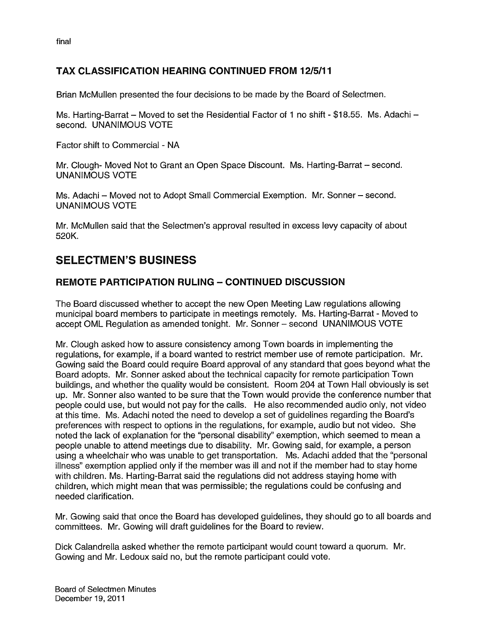final

### TAX CLASSIFICATION HEARING CONTINUED FROM 12/5/11

Brian McMullen presented the four decisions to be made by the Board of Selectmen.

Ms. Harting-Barrat — Moved to set the Residential Factor of <sup>1</sup> no shift - \$18.55. Ms. Adachi second. UNANIMOUS VOTE

Factor shift to Commercial - NA

Mr. Clough- Moved Not to Grant an Open Space Discount. Ms. Harting-Barrat — second. UNANIMOUS VOTE

Ms. Adachi — Moved not to Adopt Small Commercial Exemption. Mr. Sonner — second. UNANIMOUS VOTE

Mr. McMullen said that the Selectmen's approval resulted in excess levy capacity of about 520K.

### SELECTMEN'S BUSINESS

### REMOTE PARTICIPATION RULING — CONTINUED DISCUSSION

The Board discussed whether to accept the new Open Meeting Law regulations allowing municipal board members to participate in meetings remotely. Ms. Harting-Barrat - Moved to accept CML Regulation as amended tonight. Mr. Sonner — second UNANIMOUS VOTE

Mr. Clough asked how to assure consistency among Town boards in implementing the regulations, for example, if a board wanted to restrict member use of remote participation. Mr. Gowing said the Board could require Board approval of any standard that goes beyond what the Board adopts. Mr. Sonner asked about the technical capacity for remote participation Town buildings, and whether the quality would be consistent. Room 204 at Town Hall obviously is set up. Mr. Sonner also wanted to be sure that the Town would provide the conference number that people could use, but would not pay for the calls. He also recommended audio only, not video at this time. Ms. Adachi noted the need to develop a set of guidelines regarding the Board's preferences with respect to options in the regulations, for example, audio but not video. She noted the lack of explanation for the "personal disability" exemption, which seemed to mean a people unable to attend meetings due to disability. Mr. Gowing said, for example, a person using a wheelchair who was unable to get transportation. Ms. Adachi added that the "personal illness" exemption applied only if the member was ill and not if the member had to stay home with children. Ms. Harting-Barrat said the regulations did not address staying home with children, which might mean that was permissible; the regulations could be confusing and needed clarification.

Mr. Gowing said that once the Board has developed guidelines, they should go to all boards and committees. Mr. Gowing will draft guidelines for the Board to review.

Dick Calandrella asked whether the remote participant would count toward a quorum. Mr. Gowing and Mr. Ledoux said no, but the remote participant could vote.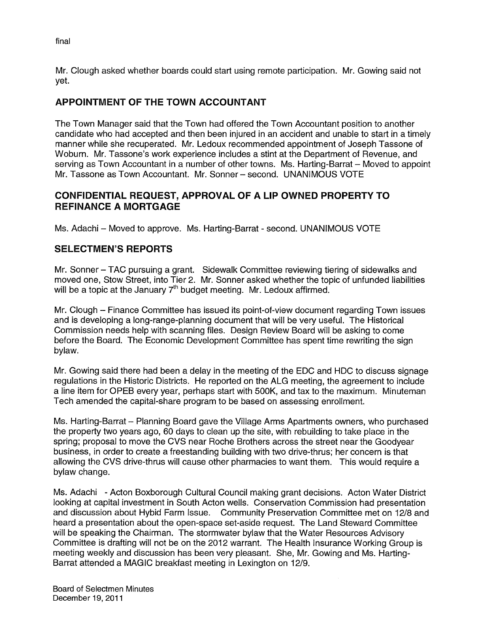Mr. Clough asked whether boards could start using remote participation. Mr. Gowing said not yet.

### APPOINTMENT OF THE TOWN ACCOUNTANT

The Town Manager said that the Town had offered the Town Accountant position to another candidate who had accepted and then been injured in an accident and unable to start in a timely manner while she recuperated. Mr. Ledoux recommended appointment of Joseph Tassone of Woburn. Mr. Tassone's work experience includes a stint at the Department of Revenue, and serving as Town Accountant in a number of other towns. Ms. Harting-Barrat — Moved to appoint Mr. Tassone as Town Accountant. Mr. Sonner — second. UNANIMOUS VOTE

### CONFIDENTIAL REQUEST, APPROVAL OF A LIP OWNED PROPERTY TO REFINANCE A MORTGAGE

Ms. Adachi – Moved to approve. Ms. Harting-Barrat - second. UNANIMOUS VOTE

### SELECTMEN'S REPORTS

Mr. Sonner — TAG pursuing a grant. Sidewalk Committee reviewing tiering of sidewalks and moved one, Stow Street, into Tier 2. Mr. Sonner asked whether the topic of unfunded liabilities will be a topic at the January  $7<sup>th</sup>$  budget meeting. Mr. Ledoux affirmed.

Mr. Clough — Finance Committee has issued its point-of-view document regarding Town issues and is developing a long-range-planning document that will be very useful. The Historical Commission needs help with scanning files. Design Review Board will be asking to come before the Board. The Economic Development Committee has spent time rewriting the sign bylaw.

Mr. Gowing said there had been a delay in the meeting of the EDC and HDC to discuss signage regulations in the Historic Districts. He reported on the ALG meeting, the agreement to include a line item for OPEB every year, perhaps start with 500K, and tax to the maximum. Minuteman Tech amended the capital-share program to be based on assessing enrollment.

Ms. Harting-Barrat — Planning Board gave the Village Arms Apartments owners, who purchased the property two years ago, 60 days to clean up the site, with rebuilding to take place in the spring; proposal to move the CVS near Roche Brothers across the street near the Goodyear business, in order to create a freestanding building with two drive-thrus; her concern is that allowing the CVS drive-thrus will cause other pharmacies to want them. This would require a bylaw change.

Ms. Adachi - Acton Boxborough Cultural Council making grant decisions. Acton Water District looking at capital investment in South Acton wells. Conservation Commission had presentation and discussion about Hybid Farm Issue. Community Preservation Committee met on 12/8 and heard a presentation about the open-space set-aside request. The Land Steward Committee will be speaking the Chairman. The stormwater bylaw that the Water Resources Advisory Committee is drafting will not be on the 2012 warrant. The Health Insurance Working Group is meeting weekly and discussion has been very pleasant. She, Mr. Gowing and Ms. Harting Barrat attended a MAGIC breakfast meeting in Lexington on 12/9.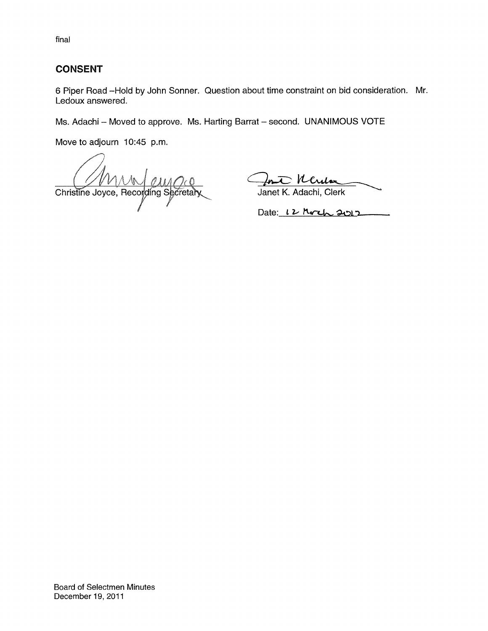final

### CONSENT

6 Piper Road —Hold by John Sonner. Question about time constraint on bid consideration. Mr. Ledoux answered.

Ms. Adachi — Moved to approve. Ms. Harting Barrat — second. UNANIMOUS VOTE

Move to adjourn 10:45 p.m.

Christine Joyce, Recording Secretary

In Ucula

Date:  $12$  Moch 2012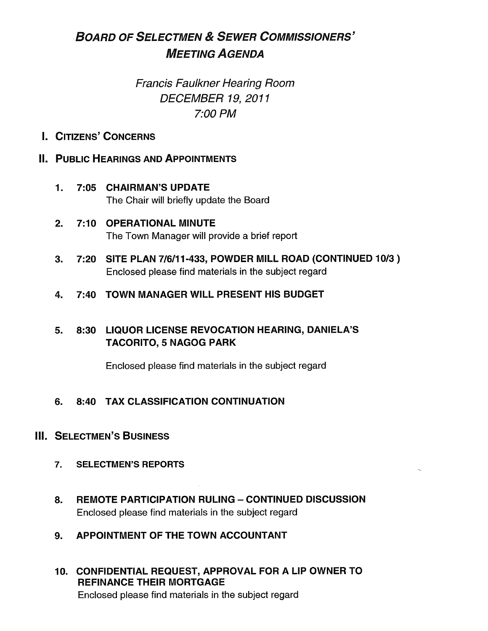# BOARD OF SELECTMEN & SEWER CoMMIssIoNERs' MEETING AGENDA

## Francis Faulkner Hearing Room DECEMBER 19, 2011 7:00 PM

I. CITIZENS' CONCERNS

### **II. PUBLIC HEARINGS AND APPOINTMENTS**

- 1. 7:05 CHAIRMAN'S UPDATE The Chair will briefly update the Board
- 2. 7:10 OPERATIONAL MINUTE The Town Manager will provide a brief report
- 3. 7:20 SITE PLAN 7/6/11-433, POWDER MILL ROAD (CONTINUED 10/3) Enclosed please find materials in the subject regard
- 4. 7:40 TOWN MANAGER WILL PRESENT HIS BUDGET

### 5. 8:30 LIQUOR LICENSE REVOCATION HEARING, DANIELA'S TACORITO, 5 NAGOG PARK

Enclosed please find materials in the subject regard

### 6. 8:40 TAX CLASSIFICATION CONTINUATION

### **III. SELECTMEN'S BUSINESS**

- 7. SELECTMEN'S REPORTS
- 8. REMOTE PARTICIPATION RULING CONTINUED DISCUSSION Enclosed please find materials in the subject regard
- 9. APPOINTMENT OF THE TOWN ACCOUNTANT
- 10. CONFIDENTIAL REQUEST, APPROVAL FOR A LIP OWNER TO REFINANCE THEIR MORTGAGE Enclosed please find materials in the subject regard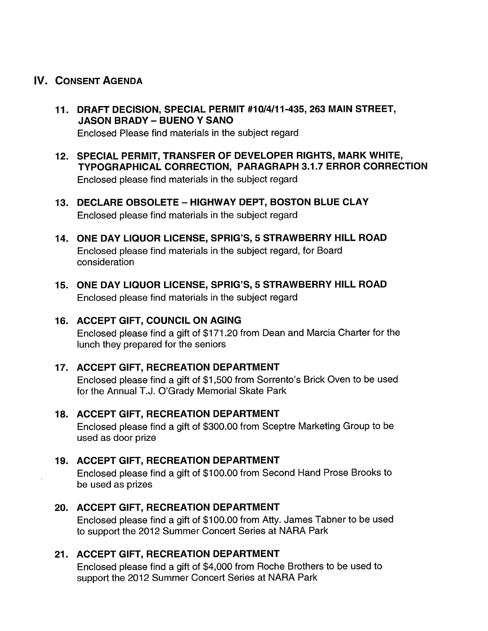### IV. CONSENT AGENDA

11. DRAFT DECISION, SPECIAL PERMIT #10/4/11-435, 263 MAIN STREET, **JASON BRADY - BUENO Y SANO** 

Enclosed Please find materials in the subject regard

- 12. SPECIAL PERMIT, TRANSFER OF DEVELOPER RIGHTS, MARK WHITE, TYPOGRAPHICAL CORRECTION, PARAGRAPH 3.1.7 ERROR CORRECTION Enclosed please find materials in the subject regard
- 13. DECLARE OBSOLETE HIGHWAY DEPT, BOSTON BLUE CLAY Enclosed please find materials in the subject regard
- 14. ONE DAY LIQUOR LICENSE, SPRIG'S, 5 STRAWBERRY HILL ROAD Enclosed please find materials in the subject regard, for Board consideration
- 15. ONE DAY LIQUOR LICENSE, SPRIG'S, 5 STRAWBERRY HILL ROAD Enclosed please find materials in the subject regard

### 16. ACCEPT GIFT, COUNCIL ON AGING

Enclosed please find a gift of \$171.20 from Dean and Marcia Charter for the lunch they prepared for the seniors

#### 17. ACCEPT GIFT, RECREATION DEPARTMENT

Enclosed please find a gift of \$1,500 from Sorrento's Brick Oven to be used for the Annual T.J. O'Grady Memorial Skate Park

### 18. ACCEPT GIFT, RECREATION DEPARTMENT

Enclosed please find a gift of \$300.00 from Sceptre Marketing Group to be used as door prize

#### 19. ACCEPT GIFT, RECREATION DEPARTMENT

Enclosed please find a gift of \$100.00 from Second Hand Prose Brooks to be used as prizes

### 20. ACCEPT GIFT, RECREATION DEPARTMENT

Enclosed please find a gift of \$100.00 from Atty. James Tabner to be used to support the 2012 Summer Concert Series at NARA Park

#### 21. ACCEPT GIFT, RECREATION DEPARTMENT

Enclosed please find a gift of \$4,000 from Roche Brothers to be used to support the 2012 Summer Concert Series at NARA Park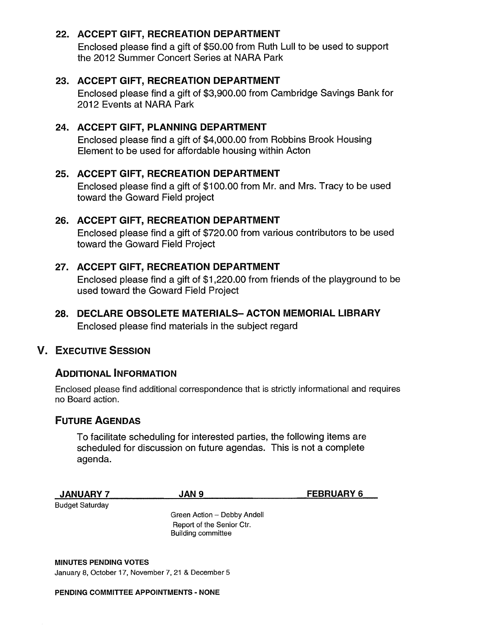### 22. ACCEPT GIFT, RECREATION DEPARTMENT

Enclosed please find a gift of \$50.00 from Ruth Lull to be used to support the 2012 Summer Concert Series at NARA Park

#### 23. ACCEPT GIFT, RECREATION DEPARTMENT

Enclosed please find a gift of \$3,900.00 from Cambridge Savings Bank for 2012 Events at NARA Park

### 24. ACCEPT GIFT, PLANNING DEPARTMENT

Enclosed please find a gift of \$4,000.00 from Robbins Brook Housing Element to be used for affordable housing within Acton

### 25. ACCEPT GIFT, RECREATION DEPARTMENT

Enclosed please find a gift of \$100.00 from Mr. and Mrs. Tracy to be used toward the Goward Field project

### 26. ACCEPT GIFT, RECREATION DEPARTMENT

Enclosed please find a gift of \$720.00 from various contributors to be used toward the Goward Field Project

### 27. ACCEPT GIFT, RECREATION DEPARTMENT

Enclosed please find a gift of \$1,220.00 from friends of the playground to be used toward the Goward Field Project

28. DECLARE OBSOLETE MATERIALS- ACTON MEMORIAL LIBRARY Enclosed please find materials in the subject regard

### V. EXECUTIVE SESSION

### ADDITIONAL INFORMATION

Enclosed please find additional correspondence that is strictly informational and requires no Board action.

### FUTURE AGENDAS

To facilitate scheduling for interested parties, the following items are scheduled for discussion on future agendas. This is not a complete agenda.

| <b>JANUARY 7</b> | <b>AN 9</b> | <b>FEBRUARY F</b> |
|------------------|-------------|-------------------|
|                  |             |                   |

Budget Saturday

Green Action — Debby Andell Report of the Senior Ctr. Building committee

MINUTES PENDING VOTES January 8, October 17, November 7, 21 & December 5

#### PENDING COMMITTEE APPOINTMENTS - NONE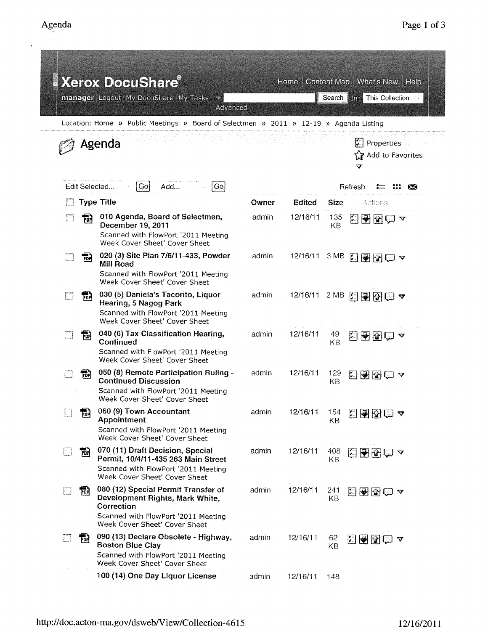$\bar{t}$ 

|   |     | <b>Xerox DocuShare®</b><br>manager Logout My DocuShare My Tasks<br>Advanced                                                                                  |       | Home     |            | Content Map   What's New   Help<br>Search <b>The This Collection</b> |
|---|-----|--------------------------------------------------------------------------------------------------------------------------------------------------------------|-------|----------|------------|----------------------------------------------------------------------|
|   |     | Location: Home » Public Meetings » Board of Selectmen » 2011 » 12-19 » Agenda Listing                                                                        |       |          |            |                                                                      |
|   |     | Agenda                                                                                                                                                       |       |          |            | Properties<br>ĽЦ<br>Yy Add to Favorites<br>v                         |
|   |     | Edit Selected<br>Add<br>Go.<br>Gol                                                                                                                           |       |          |            | Refresh                                                              |
|   |     | <b>Type Title</b>                                                                                                                                            | Owner | Edited   | Size       | Actions                                                              |
|   | 빪   | 010 Agenda, Board of Selectmen,<br>December 19, 2011<br>Scanned with FlowPort '2011 Meeting<br>Week Cover Sheet' Cover Sheet                                 | admin | 12/16/11 | 135<br>KВ  | 闛<br>$\bigtriangledown$ $\bigtriangledown$<br>$\triangledown$        |
|   | 曍   | 020 (3) Site Plan 7/6/11-433, Powder<br>Mill Road<br>Scanned with FlowPort '2011 Meeting<br>Week Cover Sheet' Cover Sheet                                    | admin | 12/16/11 | 3 MB       | 日子图白~                                                                |
|   | 靜   | 030 (5) Daniela's Tacorito, Liquor<br><b>Hearing, 5 Nagog Park</b><br>Scanned with FlowPort '2011 Meeting<br>Week Cover Sheet' Cover Sheet                   | admin | 12/16/11 | 2 MB       | 2292□ ?                                                              |
|   | 쨰   | 040 (6) Tax Classification Hearing,<br>Continued<br>Scanned with FlowPort '2011 Meeting<br>Week Cover Sheet' Cover Sheet                                     | admin | 12/16/11 | 49<br>KB   | 지원장(그<br>$\bm{\nabla}$                                               |
|   | 铞   | 050 (8) Remote Participation Ruling -<br><b>Continued Discussion</b><br>Scanned with FlowPort '2011 Meeting<br>Week Cover Sheet' Cover Sheet                 | admin | 12/16/11 | 129<br>KB  | G⊌R⊜ ⊽                                                               |
|   | pod | 060 (9) Town Accountant<br><b>Appointment</b><br>Scanned with FlowPort '2011 Meeting<br>Week Cover Sheet' Cover Sheet                                        | admin | 12/16/11 | 154<br>KB  | 圕<br>图图⊜▲                                                            |
| w | 丽   | 070 (11) Draft Decision, Special<br>Permit, 10/4/11-435 263 Main Street<br>Scanned with FlowPort '2011 Meeting<br>Week Cover Sheet' Cover Sheet              | admin | 12/16/11 | 408<br>KB. | 日子团白~                                                                |
|   | 펾   | 080 (12) Special Permit Transfer of<br>Development Rights, Mark White,<br>Correction<br>Scanned with FlowPort '2011 Meeting<br>Week Cover Sheet' Cover Sheet | admin | 12/16/11 | 241<br>KВ  | 2800 ×                                                               |
|   | For | 090 (13) Declare Obsolete - Highway,<br><b>Boston Blue Clay</b><br>Scanned with FlowPort '2011 Meeting<br>Week Cover Sheet' Cover Sheet                      | admin | 12/16/11 | 62<br>KB   | 国国国国内                                                                |
|   |     | 100 (14) One Day Liquor License                                                                                                                              | admin | 12/16/11 | 148        |                                                                      |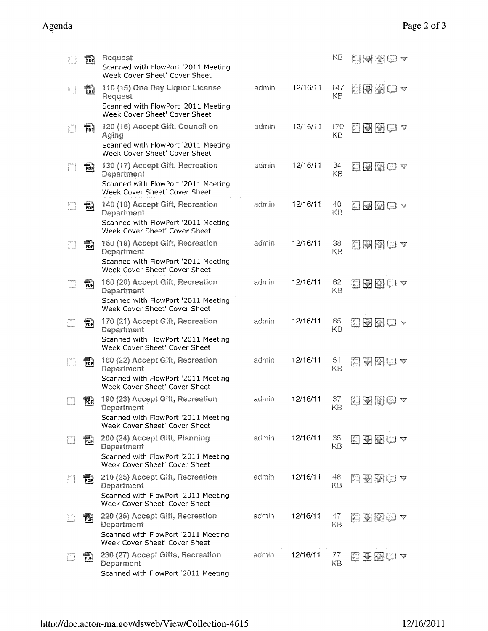| 嗣          | Request<br>Scanned with FlowPort '2011 Meeting<br>Week Cover Sheet' Cover Sheet                                        |       |          | KΒ        | 同倒ほロュ                                                                                |
|------------|------------------------------------------------------------------------------------------------------------------------|-------|----------|-----------|--------------------------------------------------------------------------------------|
| PDF        | 110 (15) One Day Liquor License<br>Request<br>Scanned with FlowPort '2011 Meeting<br>Week Cover Sheet' Cover Sheet     | admin | 12/16/11 | 147<br>KВ | <b>西國图理 4</b>                                                                        |
| PDF        | 120 (16) Accept Gift, Council on<br>Aging<br>Scanned with FlowPort '2011 Meeting<br>Week Cover Sheet' Cover Sheet      | admin | 12/16/11 | 170<br>KΒ | 293807                                                                               |
| 冊          | 130 (17) Accept Gift, Recreation<br>Department<br>Scanned with FlowPort '2011 Meeting<br>Week Cover Sheet' Cover Sheet | admin | 12/16/11 | 34<br>KB  | <b>西南图画 4</b>                                                                        |
| 禍          | 140 (18) Accept Gift, Recreation<br>Department<br>Scanned with FlowPort '2011 Meeting<br>Week Cover Sheet' Cover Sheet | admin | 12/16/11 | 40<br>KB  | 2000-0                                                                               |
| 闘)<br>PDF  | 150 (19) Accept Gift, Recreation<br>Department<br>Scanned with FlowPort '2011 Meeting<br>Week Cover Sheet' Cover Sheet | admin | 12/16/11 | 38<br>KB  | 西图图画《                                                                                |
| na<br>PDF  | 160 (20) Accept Gift, Recreation<br>Department<br>Scanned with FlowPort '2011 Meeting<br>Week Cover Sheet' Cover Sheet | admin | 12/16/11 | 62<br>KB  | 日图图白~                                                                                |
| 罸          | 170 (21) Accept Gift, Recreation<br>Department<br>Scanned with FlowPort '2011 Meeting<br>Week Cover Sheet' Cover Sheet | admin | 12/16/11 | 65<br>KB  | 日图图画~                                                                                |
| PDF        | 180 (22) Accept Gift, Recreation<br>Department<br>Scanned with FlowPort '2011 Meeting<br>Week Cover Sheet' Cover Sheet | admin | 12/16/11 | 51<br>KB  | 石田母田っ                                                                                |
| <b>POH</b> | 190 (23) Accept Gift, Recreation<br>Department<br>Scanned with FlowPort '2011 Meeting<br>Week Cover Sheet' Cover Sheet | admin | 12/16/11 | 37<br>KΒ  | $\begin{bmatrix} 0 & 1 \\ 0 & 1 \end{bmatrix}$<br> H                                 |
| 闁          | 200 (24) Accept Gift, Planning<br>Department<br>Scanned with FlowPort '2011 Meeting<br>Week Cover Sheet' Cover Sheet   | admin | 12/16/11 | 35<br>ΚB  | 지 어떻!<br>≈.                                                                          |
| ma.<br>PDF | 210 (25) Accept Gift, Recreation<br>Department<br>Scanned with FlowPort '2011 Meeting<br>Week Cover Sheet' Cover Sheet | admin | 12/16/11 | 48<br>KB  | ☆ 例母 ◎マ                                                                              |
| PDF        | 220 (26) Accept Gift, Recreation<br>Department<br>Scanned with FlowPort '2011 Meeting<br>Week Cover Sheet' Cover Sheet | admin | 12/16/11 | 47<br>KB  | $H$ $\circ$<br>$\left  \begin{smallmatrix} 2 & 1 \\ 2 & 1 \end{smallmatrix} \right $ |
| 鸭          | 230 (27) Accept Gifts, Recreation<br>Deparment<br>Scanned with FlowPort '2011 Meeting                                  | admin | 12/16/11 | 77<br>KB  | $\left  \begin{array}{c} \circ \\ \circ \end{array} \right $<br>慘                    |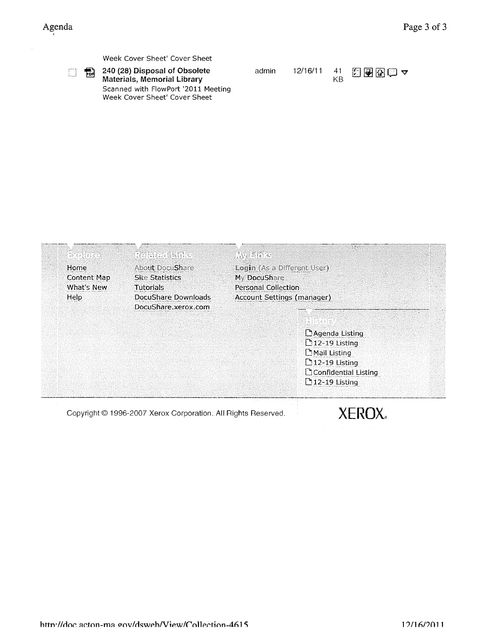$\begin{bmatrix} 0 & 0 \\ 0 & 1 \end{bmatrix}$  .

|  | Week Cover Sheet' Cover Sheet |
|--|-------------------------------|
|--|-------------------------------|

240 (28) Disposal of Obsolete 园 Materials, Memorial Library Scanned with FlowPort '2011 Meeting Week Cover Sheet' Cover Sheet

| admin | 12/16/11 | ΚB | $\frac{41}{11}$ 2000 $\sqrt{2}$ |
|-------|----------|----|---------------------------------|
|-------|----------|----|---------------------------------|

| Ranta de    | Robrettinke                                                   | Avaliate:                   |
|-------------|---------------------------------------------------------------|-----------------------------|
| Home        | <b>About DocuShare</b>                                        | Login (As a Different User) |
| Content Map | <b>Site Statistics</b>                                        | My DocuShare                |
| What's New  | <b>Tutorials</b>                                              | <b>Personal Collection</b>  |
| Help        | DocuShare Downloads                                           | Account Settings (manager)  |
|             | DocuShare.xerox.com                                           |                             |
|             |                                                               |                             |
|             |                                                               | L'Agenda Listing            |
|             |                                                               | <b>12-19 Listing</b>        |
|             |                                                               | <b>Mail Listing</b>         |
|             |                                                               | $D$ 12-19 Listing           |
|             |                                                               | Confidential Listing        |
|             |                                                               | □ 12-19 Listing             |
|             |                                                               |                             |
|             | Copyright © 1996-2007 Xerox Corporation. All Rights Reserved. |                             |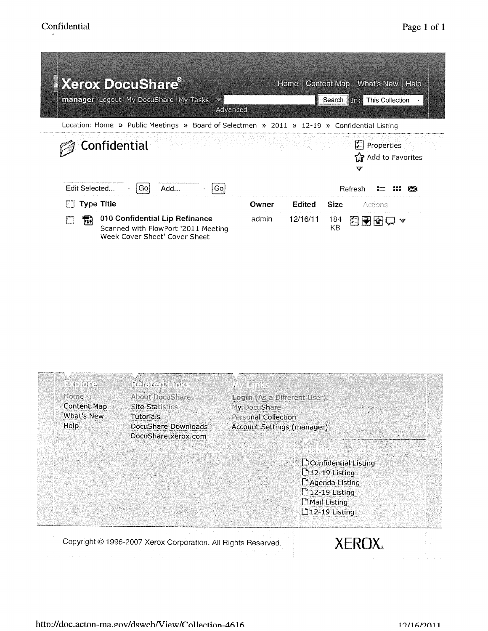| Xerox DocuShare<br><b>manager</b> Logout My DocuShare My Tasks<br>Advanced                                  | Content Map   What's New   Help<br><b>Home</b><br>Search <b>in This Collection</b>      |
|-------------------------------------------------------------------------------------------------------------|-----------------------------------------------------------------------------------------|
| Location: Home » Public Meetings » Board of Selectmen » 2011 » 12-19 » Confidential Listing                 |                                                                                         |
| Confidential                                                                                                | $\mathcal{L}$ Properties<br>아이가 어디 부적 마이 친 번 번 번 번 일을 받았다.<br>ারী Add to Favorites<br>v |
| Edit Selected<br>Add<br>Go:<br>Go                                                                           | Refresh                                                                                 |
| <b>Type Title</b>                                                                                           | <b>Size</b><br>Edited<br>Owner<br>Actions                                               |
| 010 Confidential Lip Refinance<br>鬝<br>Scanned with FlowPort '2011 Meeting<br>Week Cover Sheet' Cover Sheet | 12/16/11<br>admin<br>184<br>白围窗<br>ক<br>U<br>KΒ                                         |

| $= 6$ $(9)$ $(2)$<br>Home: | <b>Referent frage</b><br>About DocuShare                      | AV Brits<br>Login (As a Different User) |
|----------------------------|---------------------------------------------------------------|-----------------------------------------|
| Content Map                | <b>Site Statistics</b>                                        | My DocuShare                            |
| What's New                 | Tutorials                                                     | <b>Personal Collection</b>              |
| Help                       | DocuShare Downloads                                           | <b>Account Settings (manager)</b>       |
|                            | DocuShare, xerox.com                                          |                                         |
|                            |                                                               |                                         |
|                            |                                                               | <b>Confidential Listing</b>             |
|                            |                                                               | $[12-19$ Listing                        |
|                            |                                                               | Magenda Listing                         |
|                            |                                                               | $\int 12-19$ Listing                    |
|                            |                                                               | Mail Listing                            |
|                            |                                                               | $\mathbf{\mathsf{D}}$ 12-19 Listing     |
|                            |                                                               |                                         |
|                            | Copyright @ 1996-2007 Xerox Corporation. All Rights Reserved. | XEROX.                                  |